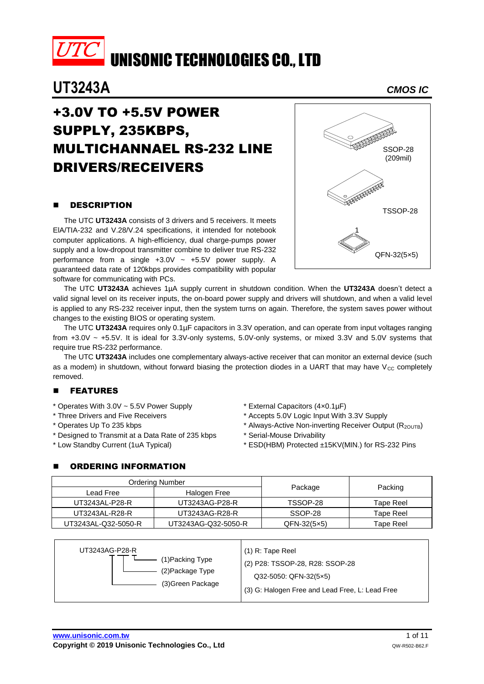

## **UT3243A** *CMOS IC*

## +3.0V TO +5.5V POWER SUPPLY, 235KBPS, MULTICHANNAEL RS-232 LINE DRIVERS/RECEIVERS

## **DESCRIPTION**

The UTC **UT3243A** consists of 3 drivers and 5 receivers. It meets ElA/TIA-232 and V.28/V.24 specifications, it intended for notebook computer applications. A high-efficiency, dual charge-pumps power supply and a low-dropout transmitter combine to deliver true RS-232 performance from a single  $+3.0V \sim +5.5V$  power supply. A guaranteed data rate of 120kbps provides compatibility with popular software for communicating with PCs.



The UTC **UT3243A** achieves 1µA supply current in shutdown condition. When the **UT3243A** doesn't detect a valid signal level on its receiver inputs, the on-board power supply and drivers will shutdown, and when a valid level is applied to any RS-232 receiver input, then the system turns on again. Therefore, the system saves power without changes to the existing BIOS or operating system.

The UTC **UT3243A** requires only 0.1µF capacitors in 3.3V operation, and can operate from input voltages ranging from +3.0V ~ +5.5V. It is ideal for 3.3V-only systems, 5.0V-only systems, or mixed 3.3V and 5.0V systems that require true RS-232 performance.

The UTC **UT3243A** includes one complementary always-active receiver that can monitor an external device (such as a modem) in shutdown, without forward biasing the protection diodes in a UART that may have  $V_{CC}$  completely removed.

## **E** FEATURES

- \* Operates With 3.0V ~ 5.5V Power Supply
- \* Three Drivers and Five Receivers
- \* Operates Up To 235 kbps
- \* Designed to Transmit at a Data Rate of 235 kbps
- \* Low Standby Current (1uA Typical)

#### \* External Capacitors (4×0.1µF)

- \* Accepts 5.0V Logic Input With 3.3V Supply
- \* Always-Active Non-inverting Receiver Output (R2OUTB)
- \* Serial-Mouse Drivability
- \* ESD(HBM) Protected ±15KV(MIN.) for RS-232 Pins

#### ORDERING INFORMATION

|                     | Ordering Number     |                    |           |  |
|---------------------|---------------------|--------------------|-----------|--|
| Lead Free           | Halogen Free        | Package            | Packing   |  |
| UT3243AL-P28-R      | UT3243AG-P28-R      | TSSOP-28           | Tape Reel |  |
| UT3243AL-R28-R      | UT3243AG-R28-R      | SSOP-28            | Tape Reel |  |
| UT3243AL-Q32-5050-R | UT3243AG-Q32-5050-R | $QFN-32(5\times5)$ | Tape Reel |  |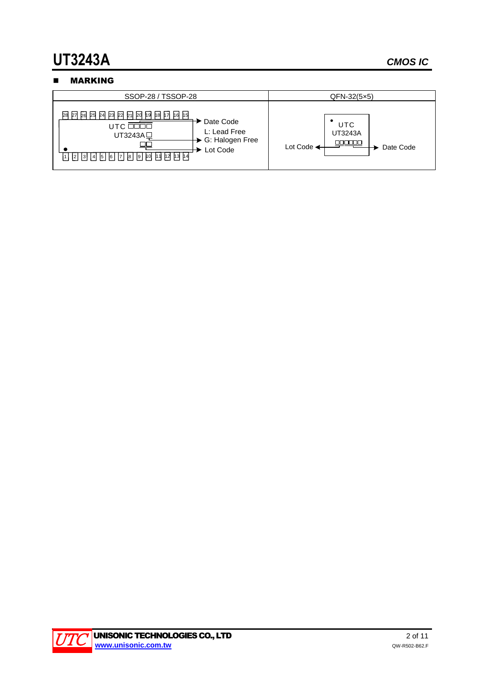# **UT3243A** *CMOS IC*

## **NARKING**



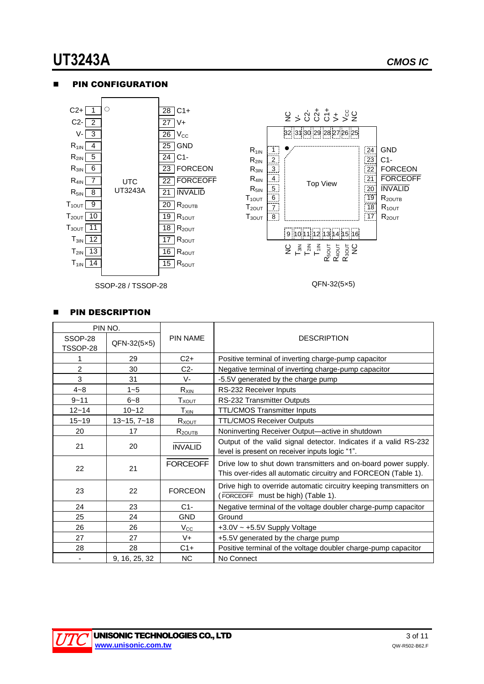QFN-32(5×5)

2 > 8 9 9 7 7 7 8 7

32 31 30 29 28 27 26 25

Top View

NC GND C1-

 $\frac{24}{24}$ 23 22 21  $\overline{20}$  $\frac{1}{19}$  $\lceil 18 \rceil$ 17

FORCEON FORCEOFF INVALID R<sub>2OUTB</sub>  $R_{10UT}$ R<sub>2OUT</sub>

U <sub>m</sub><br>T<sub>al</sub>a m<br>Mala<br>Mala

9 10 11 12 13 14 15 16

#### PIN CONFIGURATION



SSOP-28 / TSSOP-28

#### PIN DESCRIPTION

| PIN NO.             |                   |                 |                                                                                                                                  |  |  |
|---------------------|-------------------|-----------------|----------------------------------------------------------------------------------------------------------------------------------|--|--|
| SSOP-28<br>TSSOP-28 | QFN-32(5×5)       | <b>PIN NAME</b> | <b>DESCRIPTION</b>                                                                                                               |  |  |
|                     | 29                | $C2+$           | Positive terminal of inverting charge-pump capacitor                                                                             |  |  |
| 2                   | 30                | $C2-$           | Negative terminal of inverting charge-pump capacitor                                                                             |  |  |
| 3                   | 31                | V-              | -5.5V generated by the charge pump                                                                                               |  |  |
| $4 - 8$             | $1 - 5$           | $R_{XIN}$       | RS-232 Receiver Inputs                                                                                                           |  |  |
| $9 - 11$            | $6 - 8$           | $T_{XOUT}$      | RS-232 Transmitter Outputs                                                                                                       |  |  |
| $12 - 14$           | $10 - 12$         | $T_{XIN}$       | <b>TTL/CMOS Transmitter Inputs</b>                                                                                               |  |  |
| $15 - 19$           | $13 - 15, 7 - 18$ | Rxo <u>UT</u>   | <b>TTL/CMOS Receiver Outputs</b>                                                                                                 |  |  |
| 20                  | 17                | $R_{2OUTB}$     | Noninverting Receiver Output-active in shutdown                                                                                  |  |  |
| 21                  | 20                | <b>INVALID</b>  | Output of the valid signal detector. Indicates if a valid RS-232<br>level is present on receiver inputs logic "1".               |  |  |
| 22                  | 21                | <b>FORCEOFF</b> | Drive low to shut down transmitters and on-board power supply.<br>This over-rides all automatic circuitry and FORCEON (Table 1). |  |  |
| 23                  | 22                | <b>FORCEON</b>  | Drive high to override automatic circuitry keeping transmitters on<br>(FORCEOFF must be high) (Table 1).                         |  |  |
| 24                  | 23                | $C1-$           | Negative terminal of the voltage doubler charge-pump capacitor                                                                   |  |  |
| 25                  | 24                | <b>GND</b>      | Ground                                                                                                                           |  |  |
| 26                  | 26                | $V_{\rm CC}$    | +3.0V ~ +5.5V Supply Voltage                                                                                                     |  |  |
| 27                  | 27                | $V +$           | +5.5V generated by the charge pump                                                                                               |  |  |
| 28                  | 28                | $C1+$           | Positive terminal of the voltage doubler charge-pump capacitor                                                                   |  |  |
|                     | 9, 16, 25, 32     | NC.             | No Connect                                                                                                                       |  |  |

 $R_{1IN}$  $R_{2IN}$  $R_{3IN}$  $R_{4IN}$  $R_{5IN}$ T1OUT  $T_{2OUT}$ T3OUT

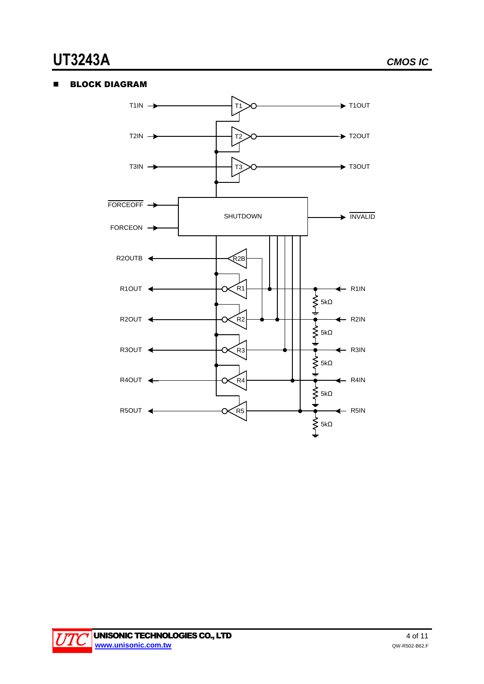#### **BLOCK DIAGRAM**



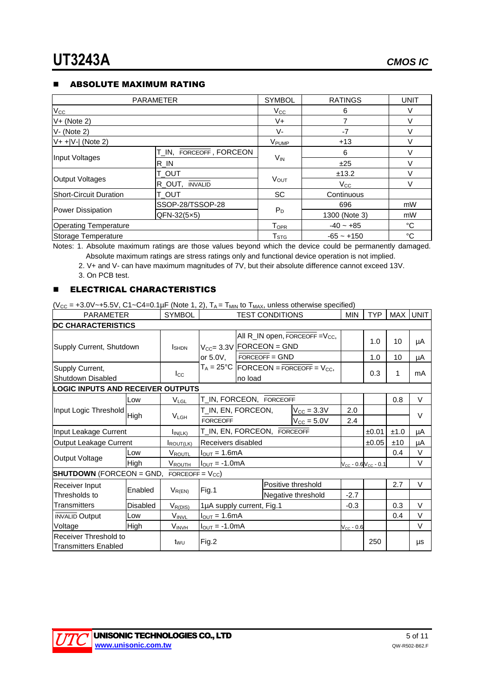#### **E** ABSOLUTE MAXIMUM RATING

| <b>PARAMETER</b>              | <b>SYMBOL</b>           | <b>RATINGS</b>              | <b>UNIT</b>   |           |
|-------------------------------|-------------------------|-----------------------------|---------------|-----------|
| $V_{\rm CC}$                  | $V_{\rm CC}$            | 6                           | $\vee$        |           |
| $V+$ (Note 2)                 | $V +$                   |                             | V             |           |
| $V - (Note 2)$                |                         | V-                          | $-7$          | $\sqrt{}$ |
| $V+$ + $ V- $ (Note 2)        |                         | V <sub>PUMP</sub>           | $+13$         | V         |
|                               | T_IN, FORCEOFF, FORCEON |                             | 6             | $\vee$    |
| Input Voltages                | $R$ <sub>IN</sub>       | <b>V<sub>IN</sub></b>       | ±25           | V         |
|                               | <b>T_OUT</b>            |                             | ±13.2         | V         |
| Output Voltages               | R_OUT, INVALID          | <b>VOUT</b>                 | $V_{\rm CC}$  | v         |
| <b>Short-Circuit Duration</b> | <b>T_OUT</b>            | <b>SC</b>                   | Continuous    |           |
|                               | SSOP-28/TSSOP-28        |                             | 696           | mW        |
| Power Dissipation             | $QFN-32(5\times5)$      | $P_D$                       | 1300 (Note 3) | mW        |
| <b>Operating Temperature</b>  | <b>TOPR</b>             | $-40 - +85$                 | °C            |           |
| Storage Temperature           |                         | $\mathsf{T}_{\texttt{STG}}$ | $-65 - +150$  | °C        |

Notes: 1. Absolute maximum ratings are those values beyond which the device could be permanently damaged. Absolute maximum ratings are stress ratings only and functional device operation is not implied.

2. V+ and V- can have maximum magnitudes of 7V, but their absolute difference cannot exceed 13V.

3. On PCB test.

#### **ELECTRICAL CHARACTERISTICS**

 $(*V*<sub>CC</sub> = +3.0*V*~+5.5*V*, C1~C4=0.1 $\mu$ F (Note 1, 2), T<sub>A</sub> = T<sub>MIN</sub> to T<sub>MAX</sub>, unless otherwise specified)$ 

| <b>PARAMETER</b>                                     |                 | <b>SYMBOL</b>         |                                           |                                      | <b>TEST CONDITIONS</b> |                                                     | <b>MIN</b> | <b>TYP</b> |        | MAX UNIT |
|------------------------------------------------------|-----------------|-----------------------|-------------------------------------------|--------------------------------------|------------------------|-----------------------------------------------------|------------|------------|--------|----------|
| <b>DC CHARACTERISTICS</b>                            |                 |                       |                                           |                                      |                        |                                                     |            |            |        |          |
|                                                      |                 |                       |                                           | All R_IN open, FORCEOFF = $V_{CC}$ , |                        |                                                     | 1.0        | 10         |        |          |
| Supply Current, Shutdown                             |                 | <b>I</b> SHDN         | $V_{CC} = 3.3V$                           |                                      | FORCEON = GND          |                                                     |            |            |        | μA       |
|                                                      |                 |                       | or 5.0V,                                  |                                      | $FORCEOFF = GND$       |                                                     |            | 1.0        | 10     | μA       |
| Supply Current,                                      |                 |                       |                                           |                                      |                        | $T_A = 25^{\circ}C$ FORCEON = FORCEOFF = $V_{CC}$ , |            |            | 1      | mA       |
| Shutdown Disabled                                    |                 | $_{\rm lcc}$          |                                           | no load                              |                        |                                                     |            | 0.3        |        |          |
| <b>LOGIC INPUTS AND RECEIVER OUTPUTS</b>             |                 |                       |                                           |                                      |                        |                                                     |            |            |        |          |
|                                                      | Low             | $V_{LGL}$             | T_IN, FORCEON, FORCEOFF                   |                                      |                        |                                                     |            |            | 0.8    | $\vee$   |
| Input Logic Threshold                                |                 |                       | T_IN, EN, FORCEON,                        |                                      |                        | $V_{\text{CC}} = 3.3V$                              | 2.0        |            |        |          |
| High                                                 |                 | <b>VLGH</b>           | <b>FORCEOFF</b><br>$V_{\text{CC}} = 5.0V$ |                                      | 2.4                    |                                                     |            | $\vee$     |        |          |
| Input Leakage Current                                |                 | $I_{IN(LK)}$          | T_IN, EN, FORCEON, FORCEOFF               |                                      |                        |                                                     | ±0.01      | ±1.0       | μA     |          |
| Output Leakage Current                               |                 | ROUT(LK)              | Receivers disabled                        |                                      |                        |                                                     | ±0.05      | ±10        | μA     |          |
|                                                      | Low             | VROUTL                | $IOUT = 1.6mA$                            |                                      |                        |                                                     |            | 0.4        | $\vee$ |          |
| Output Voltage                                       | High            | VROUTH                | $I_{\text{OUT}} = -1.0 \text{mA}$         |                                      |                        | $V_{CC}$ - 0.6 $V_{CC}$ - 0.1                       |            |            | $\vee$ |          |
| <b>SHUTDOWN</b> (FORCEON = GND,                      |                 | FORCEOFF = $V_{CC}$ ) |                                           |                                      |                        |                                                     |            |            |        |          |
| Receiver Input                                       | Enabled         |                       |                                           |                                      |                        | Positive threshold                                  |            |            | 2.7    | $\vee$   |
| Thresholds to                                        |                 | $V_{R(EN)}$           | Fig.1                                     |                                      |                        | Negative threshold                                  | $-2.7$     |            |        |          |
| Transmitters                                         | <b>Disabled</b> | $V_{R(DIS)}$          | 1µA supply current, Fig.1                 |                                      | $-0.3$                 |                                                     | 0.3        | $\vee$     |        |          |
| <b>INVALID Output</b>                                | Low             | <b>VINVL</b>          | $I_{\text{OUT}} = 1.6 \text{mA}$          |                                      |                        |                                                     | 0.4        | V          |        |          |
| Voltage                                              | High            | <b>VINVH</b>          | $I_{\text{OUT}} = -1.0 \text{mA}$         |                                      |                        | $V_{CC}$ - 0.6                                      |            |            | $\vee$ |          |
| Receiver Threshold to<br><b>Transmitters Enabled</b> |                 | twu                   | Fig.2                                     |                                      |                        |                                                     |            | 250        |        | μs       |

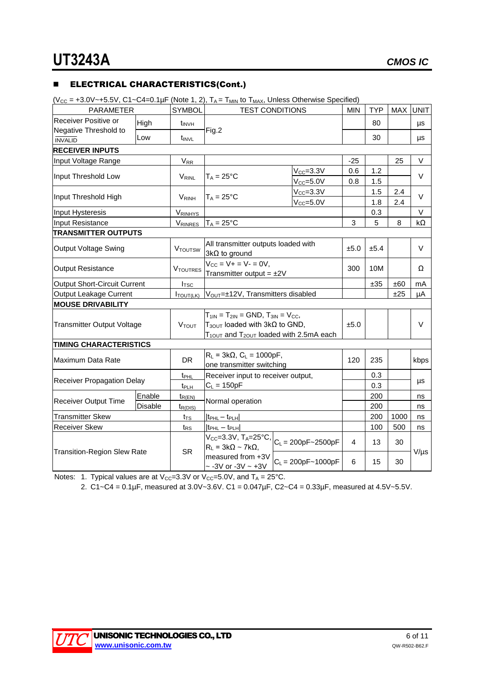#### **ELECTRICAL CHARACTERISTICS(Cont.)**

 $(V_{CC} = +3.0V \sim +5.5V, C1 \sim C4 = 0.1 \mu F$  (Note 1, 2),  $T_A = T_{MIN}$  to  $T_{MAX}$ , Unless Otherwise Specified)

| <b>PARAMETER</b>                        |        | <b>SYMBOL</b>         | <b>TEST CONDITIONS</b>                                                                        |                        | <b>MIN</b> | <b>TYP</b> | MAX  | <b>UNIT</b> |
|-----------------------------------------|--------|-----------------------|-----------------------------------------------------------------------------------------------|------------------------|------------|------------|------|-------------|
| Receiver Positive or                    | High   | $t_{\text{INVH}}$     |                                                                                               |                        |            | 80         |      | μs          |
| Negative Threshold to<br><b>INVALID</b> | Low    | $t_{\text{INVL}}$     | Fig.2                                                                                         |                        | 30         |            | μs   |             |
| <b>RECEIVER INPUTS</b>                  |        |                       |                                                                                               |                        |            |            |      |             |
| Input Voltage Range                     |        | <b>V<sub>RR</sub></b> |                                                                                               |                        | $-25$      |            | 25   | $\vee$      |
|                                         |        |                       |                                                                                               | $V_{CC} = 3.3V$        | 0.6        | 1.2        |      |             |
| Input Threshold Low                     |        | VRINL                 | $T_A = 25$ °C                                                                                 | $V_{CC} = 5.0V$        | 0.8        | 1.5        |      | $\vee$      |
|                                         |        |                       |                                                                                               | $V_{\text{CC}} = 3.3V$ |            | 1.5        | 2.4  |             |
| Input Threshold High                    |        | <b>VRINH</b>          | $T_A = 25$ °C                                                                                 | $V_{CC} = 5.0V$        |            | 1.8        | 2.4  | $\vee$      |
| Input Hysteresis                        |        | <b>VRINHYS</b>        |                                                                                               |                        |            | 0.3        |      | V           |
| Input Resistance                        |        | VRINRES               | $T_A = 25$ °C                                                                                 |                        | 3          | 5          | 8    | kΩ          |
| <b>TRANSMITTER OUTPUTS</b>              |        |                       |                                                                                               |                        |            |            |      |             |
| <b>Output Voltage Swing</b>             |        | <b>VTOUTSW</b>        | All transmitter outputs loaded with<br>$3k\Omega$ to ground                                   |                        | ±5.0       | ±5.4       |      | $\vee$      |
| <b>Output Resistance</b>                |        | <b>VTOUTRES</b>       | $V_{CC} = V + = V - = 0V$ ,<br>Transmitter output = $±2V$                                     |                        | 300        | 10M        |      | Ω           |
| <b>Output Short-Circuit Current</b>     |        | I <sub>TSC</sub>      |                                                                                               |                        |            | ±35        | ±60  | mA          |
| Output Leakage Current                  |        | $I_{\text{TOUT(LK)}}$ | V <sub>OUT</sub> =±12V, Transmitters disabled                                                 |                        |            |            | ±25  | uА          |
| <b>MOUSE DRIVABILITY</b>                |        |                       |                                                                                               |                        |            |            |      |             |
| <b>Transmitter Output Voltage</b>       |        | <b>VTOUT</b>          | $T_{1IN} = T_{2IN} = GND$ , $T_{3IN} = V_{CC}$ ,<br>$T_{3OUT}$ loaded with $3k\Omega$ to GND, |                        | ±5.0       |            |      | V           |
|                                         |        |                       | $T_{100T}$ and $T_{200T}$ loaded with 2.5mA each                                              |                        |            |            |      |             |
| <b>TIMING CHARACTERISTICS</b>           |        |                       |                                                                                               |                        |            |            |      |             |
| Maximum Data Rate                       |        | DR.                   | $R_L = 3k\Omega$ , $C_L = 1000pF$ ,<br>one transmitter switching                              |                        | 120        | 235        |      | kbps        |
| <b>Receiver Propagation Delay</b>       |        | t <sub>PHL</sub>      | Receiver input to receiver output,                                                            |                        |            | 0.3        |      |             |
|                                         |        | t <sub>PLH</sub>      | $C_L = 150pF$                                                                                 |                        |            | 0.3        |      | μs          |
|                                         | Enable | $t_{R(EN)}$           | Normal operation                                                                              |                        |            | 200        |      | ns          |
| <b>Receiver Output Time</b><br>Disable  |        | $t_{R(DIS)}$          |                                                                                               |                        |            | 200        |      | ns          |
| <b>Transmitter Skew</b>                 |        | $t_{TS}$              | $ t_{\text{PHL}} - t_{\text{PLH}} $                                                           |                        |            | 200        | 1000 | ns          |
| Receiver Skew                           |        | t <sub>RS</sub>       | $ t_{\text{PHL}} - t_{\text{PLH}} $                                                           |                        |            | 100        | 500  | ns          |
| <b>Transition-Region Slew Rate</b>      |        | <b>SR</b>             | Vcc=3.3V, TA=25°C,<br>$R_L = 3k\Omega \sim 7k\Omega$ ,                                        | $C_L = 200pF - 2500pF$ | 4          | 13         | 30   |             |
|                                         |        |                       | measured from +3V<br>$\sim$ -3V or -3V $\sim$ +3V                                             | $C_L = 200pF - 1000pF$ | 6          | 15         | 30   | $V/\mu s$   |

Notes: 1. Typical values are at  $V_{CC}=3.3V$  or  $V_{CC}=5.0V$ , and  $T_A = 25^{\circ}C$ .

2. C1~C4 = 0.1µF, measured at 3.0V~3.6V. C1 = 0.047µF, C2~C4 = 0.33µF, measured at 4.5V~5.5V.

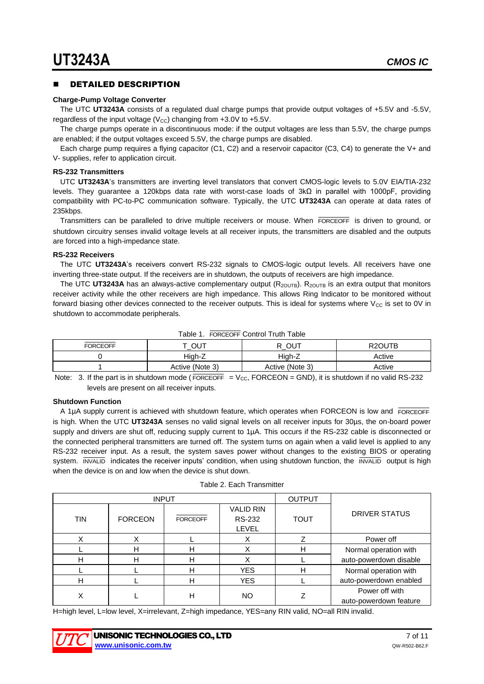#### DETAILED DESCRIPTION

#### **Charge-Pump Voltage Converter**

The UTC **UT3243A** consists of a regulated dual charge pumps that provide output voltages of +5.5V and -5.5V, regardless of the input voltage ( $V_{CC}$ ) changing from +3.0V to +5.5V.

The charge pumps operate in a discontinuous mode: if the output voltages are less than 5.5V, the charge pumps are enabled; if the output voltages exceed 5.5V, the charge pumps are disabled.

Each charge pump requires a flying capacitor (C1, C2) and a reservoir capacitor (C3, C4) to generate the V+ and V- supplies, refer to application circuit.

#### **RS-232 Transmitters**

UTC **UT3243A**'s transmitters are inverting level translators that convert CMOS-logic levels to 5.0V EIA/TIA-232 levels. They guarantee a 120kbps data rate with worst-case loads of 3kΩ in parallel with 1000pF, providing compatibility with PC-to-PC communication software. Typically, the UTC **UT3243A** can operate at data rates of 235kbps.

Transmitters can be paralleled to drive multiple receivers or mouse. When FORCEOFF is driven to ground, or shutdown circuitry senses invalid voltage levels at all receiver inputs, the transmitters are disabled and the outputs are forced into a high-impedance state.

#### **RS-232 Receivers**

The UTC **UT3243A**'s receivers convert RS-232 signals to CMOS-logic output levels. All receivers have one inverting three-state output. If the receivers are in shutdown, the outputs of receivers are high impedance.

The UTC UT3243A has an always-active complementary output  $(R_{2OUTB})$ . R<sub>2OUTB</sub> is an extra output that monitors receiver activity while the other receivers are high impedance. This allows Ring Indicator to be monitored without forward biasing other devices connected to the receiver outputs. This is ideal for systems where  $V_{CC}$  is set to 0V in shutdown to accommodate peripherals.

| Table 1. FORCEOFF Control Truth Table |                 |                 |                     |  |  |
|---------------------------------------|-----------------|-----------------|---------------------|--|--|
| <b>FORCEOFF</b>                       | τ ουτ           | R OUT           | R <sub>2</sub> OUTB |  |  |
|                                       | Hiah-Z          | Hiah-Z          | Active              |  |  |
|                                       | Active (Note 3) | Active (Note 3) | Active              |  |  |

Note:  $\,$  3. If the part is in shutdown mode (FORCEOFF  $\,$  = V<sub>CC</sub>, FORCEON = GND), it is shutdown if no valid RS-232 levels are present on all receiver inputs.

#### **Shutdown Function**

A 1µA supply current is achieved with shutdown feature, which operates when FORCEON is low and FORCEOFF is high. When the UTC **UT3243A** senses no valid signal levels on all receiver inputs for 30µs, the on-board power supply and drivers are shut off, reducing supply current to 1µA. This occurs if the RS-232 cable is disconnected or the connected peripheral transmitters are turned off. The system turns on again when a valid level is applied to any RS-232 receiver input. As a result, the system saves power without changes to the existing BIOS or operating system. INVALID indicates the receiver inputs' condition, when using shutdown function, the INVALID output is high when the device is on and low when the device is shut down.

|            | <b>INPUT</b>   |                 |                                                   | <b>OUTPUT</b> |                                          |
|------------|----------------|-----------------|---------------------------------------------------|---------------|------------------------------------------|
| <b>TIN</b> | <b>FORCEON</b> | <b>FORCEOFF</b> | <b>VALID RIN</b><br><b>RS-232</b><br><b>LEVEL</b> | <b>TOUT</b>   | <b>DRIVER STATUS</b>                     |
|            | Χ              |                 | х                                                 |               | Power off                                |
|            | н              | н               |                                                   | н             | Normal operation with                    |
| н          | н              | н               | х                                                 |               | auto-powerdown disable                   |
|            |                | н               | <b>YES</b>                                        | н             | Normal operation with                    |
| н          |                | н               | <b>YES</b>                                        |               | auto-powerdown enabled                   |
|            |                | Н               | <b>NO</b>                                         |               | Power off with<br>auto-powerdown feature |

H=high level, L=low level, X=irrelevant, Z=high impedance, YES=any RIN valid, NO=all RIN invalid.

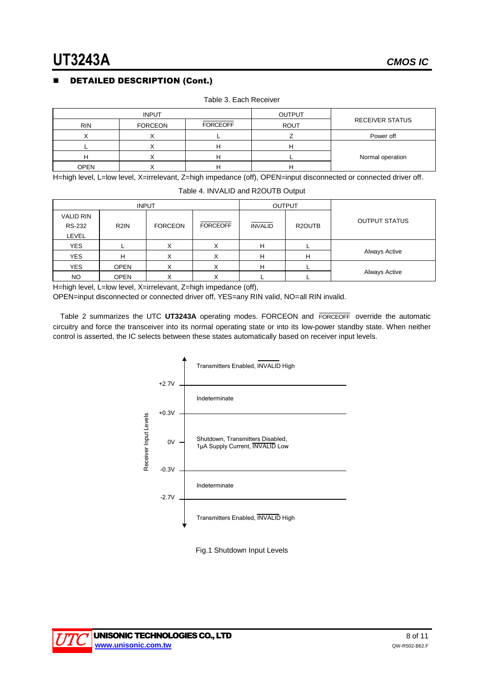## DETAILED DESCRIPTION (Cont.)

|             | <b>INPUT</b>   |                 | <b>OUTPUT</b> |                        |
|-------------|----------------|-----------------|---------------|------------------------|
| <b>RIN</b>  | <b>FORCEON</b> | <b>FORCEOFF</b> | <b>ROUT</b>   | <b>RECEIVER STATUS</b> |
|             |                |                 |               | Power off              |
|             |                |                 |               |                        |
| н           |                | −               |               | Normal operation       |
| <b>OPEN</b> |                |                 |               |                        |

Table 3. Each Receiver

H=high level, L=low level, X=irrelevant, Z=high impedance (off), OPEN=input disconnected or connected driver off.

Table 4. INVALID and R2OUTB Output

| <b>INPUT</b>                      |                   |                |                 | <b>OUTPUT</b>  |        |                      |
|-----------------------------------|-------------------|----------------|-----------------|----------------|--------|----------------------|
| <b>VALID RIN</b><br><b>RS-232</b> | R <sub>2</sub> IN | <b>FORCEON</b> | <b>FORCEOFF</b> | <b>INVALID</b> | R2OUTB | <b>OUTPUT STATUS</b> |
| LEVEL                             |                   |                |                 |                |        |                      |
| <b>YES</b>                        |                   |                | ∧               |                |        |                      |
| <b>YES</b>                        | н                 |                | Λ               | н              | H      | Always Active        |
| <b>YES</b>                        | <b>OPEN</b>       | Х              | X               | H              |        |                      |
| <b>NO</b>                         | <b>OPEN</b>       |                |                 |                |        | Always Active        |

H=high level, L=low level, X=irrelevant, Z=high impedance (off),

OPEN=input disconnected or connected driver off, YES=any RIN valid, NO=all RIN invalid.

Table 2 summarizes the UTC **UT3243A** operating modes. FORCEON and FORCEOFF override the automatic circuitry and force the transceiver into its normal operating state or into its low-power standby state. When neither control is asserted, the IC selects between these states automatically based on receiver input levels.



Fig.1 Shutdown Input Levels

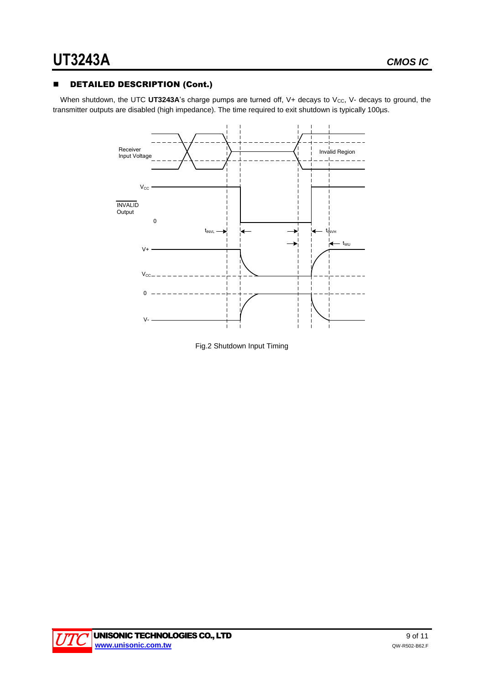## **B** DETAILED DESCRIPTION (Cont.)

When shutdown, the UTC UT3243A's charge pumps are turned off, V+ decays to V<sub>cc</sub>, V- decays to ground, the transmitter outputs are disabled (high impedance). The time required to exit shutdown is typically 100µs.



Fig.2 Shutdown Input Timing

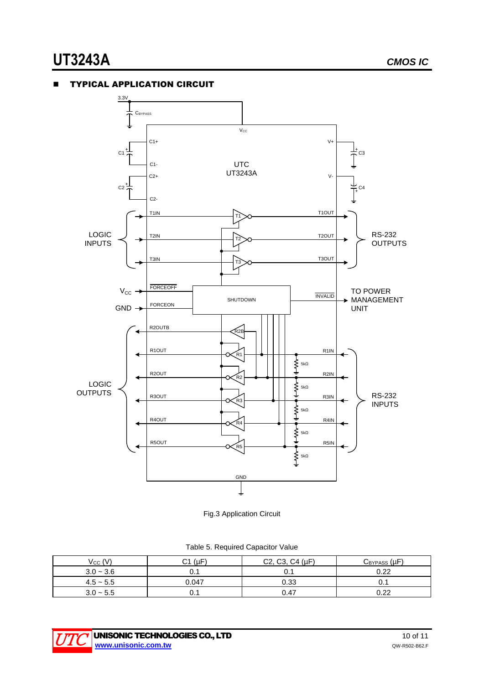#### TYPICAL APPLICATION CIRCUIT



Fig.3 Application Circuit

|  | Table 5. Required Capacitor Value |  |
|--|-----------------------------------|--|
|  |                                   |  |

| $V_{CC} (V)$ | $C1$ ( $\mu$ F) | C2, C3, C4 (µF) | $C_{BYPASS}(\mu F)$ |
|--------------|-----------------|-----------------|---------------------|
| $3.0 - 3.6$  | U.I             | 0.1             | 0.22                |
| $4.5 - 5.5$  | 0.047           | 0.33            | v.                  |
| $3.0 - 5.5$  | U. I            | 0.47            | റാ                  |